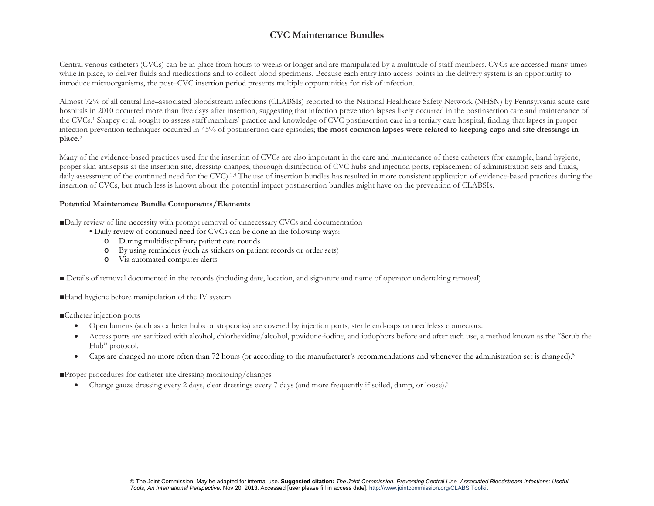## **CVC Maintenance Bundles**

Central venous catheters (CVCs) can be in place from hours to weeks or longer and are manipulated by a multitude of staff members. CVCs are accessed many times while in place, to deliver fluids and medications and to collect blood specimens. Because each entry into access points in the delivery system is an opportunity to introduce microorganisms, the post–CVC insertion period presents multiple opportunities for risk of infection.

Almost 72% of all central line–associated bloodstream infections (CLABSIs) reported to the National Healthcare Safety Network (NHSN) by Pennsylvania acute care hospitals in 2010 occurred more than five days after insertion, suggesting that infection prevention lapses likely occurred in the postinsertion care and maintenance of the CVCs.1 Shapey et al. sought to assess staff members' practice and knowledge of CVC postinsertion care in a tertiary care hospital, finding that lapses in proper infection prevention techniques occurred in 45% of postinsertion care episodes; **the most common lapses were related to keeping caps and site dressings in place**.<sup>2</sup>

Many of the evidence-based practices used for the insertion of CVCs are also important in the care and maintenance of these catheters (for example, hand hygiene, proper skin antisepsis at the insertion site, dressing changes, thorough disinfection of CVC hubs and injection ports, replacement of administration sets and fluids, daily assessment of the continued need for the CVC).<sup>3,4</sup> The use of insertion bundles has resulted in more consistent application of evidence-based practices during the insertion of CVCs, but much less is known about the potential impact postinsertion bundles might have on the prevention of CLABSIs.

## **Potential Maintenance Bundle Components/Elements**

■Daily review of line necessity with prompt removal of unnecessary CVCs and documentation

• Daily review of continued need for CVCs can be done in the following ways:

- oDuring multidisciplinary patient care rounds
- oBy using reminders (such as stickers on patient records or order sets)
- o Via automated computer alerts
- Details of removal documented in the records (including date, location, and signature and name of operator undertaking removal)

■Hand hygiene before manipulation of the IV system

- ■Catheter injection ports
	- $\bullet$ Open lumens (such as catheter hubs or stopcocks) are covered by injection ports, sterile end-caps or needleless connectors.
	- $\bullet$  Access ports are sanitized with alcohol, chlorhexidine/alcohol, povidone-iodine, and iodophors before and after each use, a method known as the "Scrub the Hub" protocol.
	- $\bullet$ Caps are changed no more often than 72 hours (or according to the manufacturer's recommendations and whenever the administration set is changed).<sup>5</sup>

■Proper procedures for catheter site dressing monitoring/changes

 $\bullet$ Change gauze dressing every 2 days, clear dressings every 7 days (and more frequently if soiled, damp, or loose).5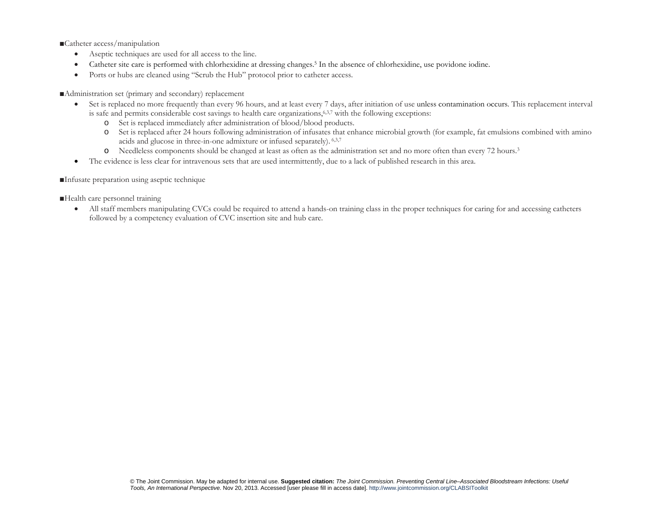■Catheter access/manipulation

- $\bullet$ Aseptic techniques are used for all access to the line.
- $\bullet$ Catheter site care is performed with chlorhexidine at dressing changes.5 In the absence of chlorhexidine, use povidone iodine.
- $\bullet$ Ports or hubs are cleaned using "Scrub the Hub" protocol prior to catheter access.

■Administration set (primary and secondary) replacement

- $\bullet$  Set is replaced no more frequently than every 96 hours, and at least every 7 days, after initiation of use unless contamination occurs. This replacement interval is safe and permits considerable cost savings to health care organizations,<sup>6,3,7</sup> with the following exceptions:
	- oSet is replaced immediately after administration of blood/blood products.
	- o Set is replaced after 24 hours following administration of infusates that enhance microbial growth (for example, fat emulsions combined with amino acids and glucose in three-in-one admixture or infused separately). 6,3,7
	- oNeedleless components should be changed at least as often as the administration set and no more often than every 72 hours.3
- $\bullet$ The evidence is less clear for intravenous sets that are used intermittently, due to a lack of published research in this area.

■Infusate preparation using aseptic technique

■Health care personnel training

 $\bullet$  All staff members manipulating CVCs could be required to attend a hands-on training class in the proper techniques for caring for and accessing catheters followed by a competency evaluation of CVC insertion site and hub care.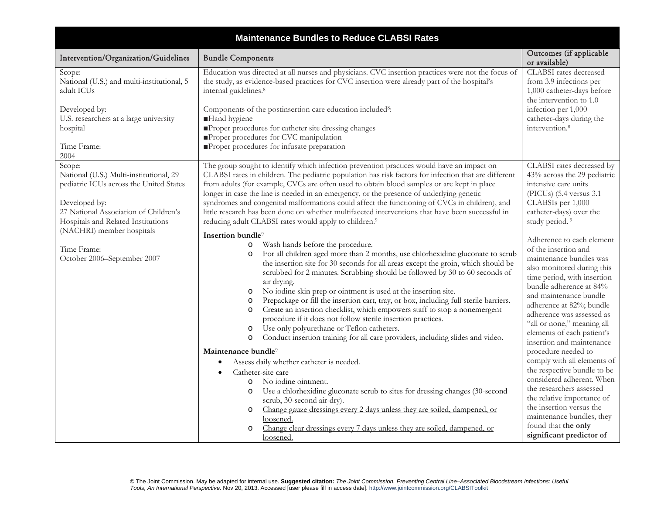| <b>Maintenance Bundles to Reduce CLABSI Rates</b>                                                                                                                                                                         |                                                                                                                                                                                                                                                                                                                                                                                                                                                                                                                                                                                                                                                                                                                                                                                                                                                                                                |                                                                                                                                                                                                                                                                                                                                                                         |  |  |
|---------------------------------------------------------------------------------------------------------------------------------------------------------------------------------------------------------------------------|------------------------------------------------------------------------------------------------------------------------------------------------------------------------------------------------------------------------------------------------------------------------------------------------------------------------------------------------------------------------------------------------------------------------------------------------------------------------------------------------------------------------------------------------------------------------------------------------------------------------------------------------------------------------------------------------------------------------------------------------------------------------------------------------------------------------------------------------------------------------------------------------|-------------------------------------------------------------------------------------------------------------------------------------------------------------------------------------------------------------------------------------------------------------------------------------------------------------------------------------------------------------------------|--|--|
| Intervention/Organization/Guidelines                                                                                                                                                                                      | <b>Bundle Components</b>                                                                                                                                                                                                                                                                                                                                                                                                                                                                                                                                                                                                                                                                                                                                                                                                                                                                       | Outcomes (if applicable<br>or available)                                                                                                                                                                                                                                                                                                                                |  |  |
| Scope:<br>National (U.S.) and multi-institutional, 5<br>adult ICUs<br>Developed by:<br>U.S. researchers at a large university<br>hospital<br>Time Frame:<br>2004                                                          | Education was directed at all nurses and physicians. CVC insertion practices were not the focus of<br>the study, as evidence-based practices for CVC insertion were already part of the hospital's<br>internal guidelines. <sup>8</sup><br>Components of the postinsertion care education included <sup>8</sup> :<br>Hand hygiene<br>Proper procedures for catheter site dressing changes<br>Proper procedures for CVC manipulation<br>Proper procedures for infusate preparation                                                                                                                                                                                                                                                                                                                                                                                                              | CLABSI rates decreased<br>from 3.9 infections per<br>1,000 catheter-days before<br>the intervention to 1.0<br>infection per 1,000<br>catheter-days during the<br>intervention. <sup>8</sup>                                                                                                                                                                             |  |  |
| Scope:<br>National (U.S.) Multi-institutional, 29<br>pediatric ICUs across the United States<br>Developed by:<br>27 National Association of Children's<br>Hospitals and Related Institutions<br>(NACHRI) member hospitals | The group sought to identify which infection prevention practices would have an impact on<br>CLABSI rates in children. The pediatric population has risk factors for infection that are different<br>from adults (for example, CVCs are often used to obtain blood samples or are kept in place<br>longer in case the line is needed in an emergency, or the presence of underlying genetic<br>syndromes and congenital malformations could affect the functioning of CVCs in children), and<br>little research has been done on whether multifaceted interventions that have been successful in<br>reducing adult CLABSI rates would apply to children. <sup>9</sup>                                                                                                                                                                                                                          | CLABSI rates decreased by<br>43% across the 29 pediatric<br>intensive care units<br>(PICUs) (5.4 versus 3.1)<br>CLABSIs per 1,000<br>catheter-days) over the<br>study period. <sup>9</sup>                                                                                                                                                                              |  |  |
| Time Frame:<br>October 2006-September 2007                                                                                                                                                                                | Insertion bundle <sup>9</sup><br>Wash hands before the procedure.<br>$\circ$<br>For all children aged more than 2 months, use chlorhexidine gluconate to scrub<br>$\circ$<br>the insertion site for 30 seconds for all areas except the groin, which should be<br>scrubbed for 2 minutes. Scrubbing should be followed by 30 to 60 seconds of<br>air drying.<br>No iodine skin prep or ointment is used at the insertion site.<br>$\circ$<br>Prepackage or fill the insertion cart, tray, or box, including full sterile barriers.<br>$\circ$<br>Create an insertion checklist, which empowers staff to stop a nonemergent<br>$\circ$<br>procedure if it does not follow sterile insertion practices.<br>Use only polyurethane or Teflon catheters.<br>$\circ$<br>Conduct insertion training for all care providers, including slides and video.<br>$\circ$<br>Maintenance bundle <sup>9</sup> | Adherence to each element<br>of the insertion and<br>maintenance bundles was<br>also monitored during this<br>time period, with insertion<br>bundle adherence at 84%<br>and maintenance bundle<br>adherence at 82%; bundle<br>adherence was assessed as<br>"all or none," meaning all<br>elements of each patient's<br>insertion and maintenance<br>procedure needed to |  |  |
|                                                                                                                                                                                                                           | Assess daily whether catheter is needed.<br>Catheter-site care<br>No iodine ointment.<br>$\circ$<br>Use a chlorhexidine gluconate scrub to sites for dressing changes (30-second<br>$\circ$<br>scrub, 30-second air-dry).<br>Change gauze dressings every 2 days unless they are soiled, dampened, or<br>$\circ$<br>loosened.<br>Change clear dressings every 7 days unless they are soiled, dampened, or<br>$\circ$<br>loosened.                                                                                                                                                                                                                                                                                                                                                                                                                                                              | comply with all elements of<br>the respective bundle to be<br>considered adherent. When<br>the researchers assessed<br>the relative importance of<br>the insertion versus the<br>maintenance bundles, they<br>found that the only<br>significant predictor of                                                                                                           |  |  |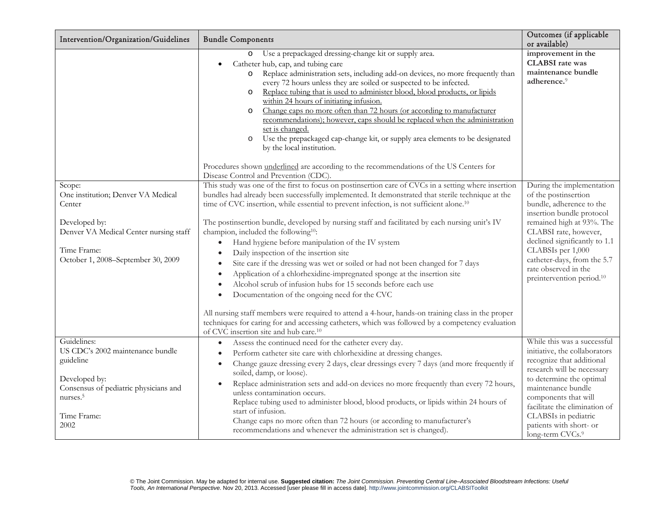| Intervention/Organization/Guidelines                                                                                                                                   | <b>Bundle Components</b>                                                                                                                                                                                                                                                                                                                                                                                                                                                                                                                                                                                                                                                                                                                                                                                                                                                                                                                                                                                                                                                                                                                                                                         | Outcomes (if applicable<br>or available)                                                                                                                                                                                                                                                                               |
|------------------------------------------------------------------------------------------------------------------------------------------------------------------------|--------------------------------------------------------------------------------------------------------------------------------------------------------------------------------------------------------------------------------------------------------------------------------------------------------------------------------------------------------------------------------------------------------------------------------------------------------------------------------------------------------------------------------------------------------------------------------------------------------------------------------------------------------------------------------------------------------------------------------------------------------------------------------------------------------------------------------------------------------------------------------------------------------------------------------------------------------------------------------------------------------------------------------------------------------------------------------------------------------------------------------------------------------------------------------------------------|------------------------------------------------------------------------------------------------------------------------------------------------------------------------------------------------------------------------------------------------------------------------------------------------------------------------|
|                                                                                                                                                                        | Use a prepackaged dressing-change kit or supply area.<br>$\circ$<br>Catheter hub, cap, and tubing care<br>Replace administration sets, including add-on devices, no more frequently than<br>$\circ$<br>every 72 hours unless they are soiled or suspected to be infected.<br>Replace tubing that is used to administer blood, blood products, or lipids<br>$\circ$<br>within 24 hours of initiating infusion.<br>Change caps no more often than 72 hours (or according to manufacturer<br>$\circ$<br>recommendations); however, caps should be replaced when the administration<br>set is changed.<br>Use the prepackaged cap-change kit, or supply area elements to be designated<br>$\circ$<br>by the local institution.<br>Procedures shown underlined are according to the recommendations of the US Centers for                                                                                                                                                                                                                                                                                                                                                                             | improvement in the<br><b>CLABSI</b> rate was<br>maintenance bundle<br>adherence. <sup>9</sup>                                                                                                                                                                                                                          |
| Scope:<br>One institution; Denver VA Medical<br>Center<br>Developed by:<br>Denver VA Medical Center nursing staff<br>Time Frame:<br>October 1, 2008–September 30, 2009 | Disease Control and Prevention (CDC).<br>This study was one of the first to focus on postinsertion care of CVCs in a setting where insertion<br>bundles had already been successfully implemented. It demonstrated that sterile technique at the<br>time of CVC insertion, while essential to prevent infection, is not sufficient alone. <sup>10</sup><br>The postinsertion bundle, developed by nursing staff and facilitated by each nursing unit's IV<br>champion, included the following <sup>10</sup> :<br>Hand hygiene before manipulation of the IV system<br>$\bullet$<br>Daily inspection of the insertion site<br>$\bullet$<br>Site care if the dressing was wet or soiled or had not been changed for 7 days<br>$\bullet$<br>Application of a chlorhexidine-impregnated sponge at the insertion site<br>Alcohol scrub of infusion hubs for 15 seconds before each use<br>Documentation of the ongoing need for the CVC<br>All nursing staff members were required to attend a 4-hour, hands-on training class in the proper<br>techniques for caring for and accessing catheters, which was followed by a competency evaluation<br>of CVC insertion site and hub care. <sup>10</sup> | During the implementation<br>of the postinsertion<br>bundle, adherence to the<br>insertion bundle protocol<br>remained high at 93%. The<br>CLABSI rate, however,<br>declined significantly to 1.1<br>CLABSIs per 1,000<br>catheter-days, from the 5.7<br>rate observed in the<br>preintervention period. <sup>10</sup> |
| Guidelines:<br>US CDC's 2002 maintenance bundle<br>guideline<br>Developed by:<br>Consensus of pediatric physicians and<br>$\text{nurses.}^5$<br>Time Frame:<br>2002    | Assess the continued need for the catheter every day.<br>Perform catheter site care with chlorhexidine at dressing changes.<br>$\bullet$<br>Change gauze dressing every 2 days, clear dressings every 7 days (and more frequently if<br>$\bullet$<br>soiled, damp, or loose).<br>Replace administration sets and add-on devices no more frequently than every 72 hours,<br>$\bullet$<br>unless contamination occurs.<br>Replace tubing used to administer blood, blood products, or lipids within 24 hours of<br>start of infusion.<br>Change caps no more often than 72 hours (or according to manufacturer's<br>recommendations and whenever the administration set is changed).                                                                                                                                                                                                                                                                                                                                                                                                                                                                                                               | While this was a successful<br>initiative, the collaborators<br>recognize that additional<br>research will be necessary<br>to determine the optimal<br>maintenance bundle<br>components that will<br>facilitate the elimination of<br>CLABSIs in pediatric<br>patients with short- or<br>long-term CVCs.9              |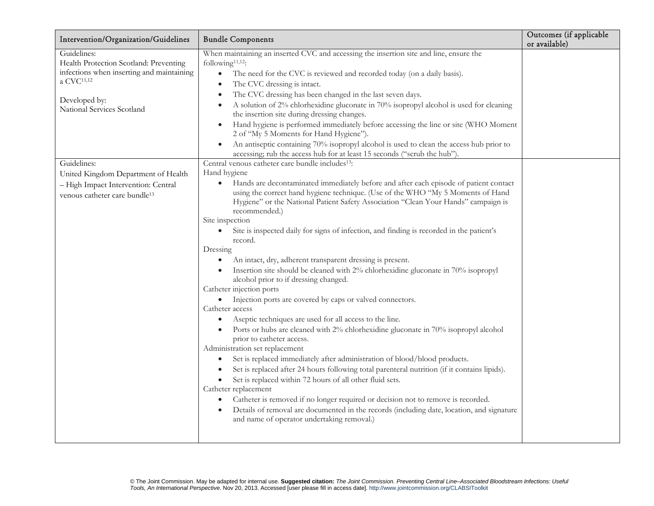| Intervention/Organization/Guidelines                                                                                                                                                       | <b>Bundle Components</b>                                                                                                                                                                                                                                                                                                                                                                                                                                                                                                                                                                                                                                                                                                                                                                                                                                                                                                                                                                                                                                                                                                                                                                                                                                                                                                                                                                                                                                                                                                      | Outcomes (if applicable<br>or available) |
|--------------------------------------------------------------------------------------------------------------------------------------------------------------------------------------------|-------------------------------------------------------------------------------------------------------------------------------------------------------------------------------------------------------------------------------------------------------------------------------------------------------------------------------------------------------------------------------------------------------------------------------------------------------------------------------------------------------------------------------------------------------------------------------------------------------------------------------------------------------------------------------------------------------------------------------------------------------------------------------------------------------------------------------------------------------------------------------------------------------------------------------------------------------------------------------------------------------------------------------------------------------------------------------------------------------------------------------------------------------------------------------------------------------------------------------------------------------------------------------------------------------------------------------------------------------------------------------------------------------------------------------------------------------------------------------------------------------------------------------|------------------------------------------|
| Guidelines:<br>Health Protection Scotland: Preventing<br>infections when inserting and maintaining<br>a CVC <sup>11,12</sup><br>Developed by:<br>National Services Scotland<br>Guidelines: | When maintaining an inserted CVC and accessing the insertion site and line, ensure the<br>following <sup>11,12</sup> :<br>$\bullet$<br>The need for the CVC is reviewed and recorded today (on a daily basis).<br>The CVC dressing is intact.<br>$\bullet$<br>The CVC dressing has been changed in the last seven days.<br>$\bullet$<br>A solution of 2% chlorhexidine gluconate in 70% isopropyl alcohol is used for cleaning<br>$\bullet$<br>the insertion site during dressing changes.<br>Hand hygiene is performed immediately before accessing the line or site (WHO Moment<br>$\bullet$<br>2 of "My 5 Moments for Hand Hygiene").<br>An antiseptic containing 70% isopropyl alcohol is used to clean the access hub prior to<br>accessing; rub the access hub for at least 15 seconds ("scrub the hub")<br>Central venous catheter care bundle includes <sup>13</sup> :                                                                                                                                                                                                                                                                                                                                                                                                                                                                                                                                                                                                                                                |                                          |
| United Kingdom Department of Health<br>- High Impact Intervention: Central<br>venous catheter care bundle <sup>13</sup>                                                                    | Hand hygiene<br>Hands are decontaminated immediately before and after each episode of patient contact<br>$\bullet$<br>using the correct hand hygiene technique. (Use of the WHO "My 5 Moments of Hand<br>Hygiene" or the National Patient Safety Association "Clean Your Hands" campaign is<br>recommended.)<br>Site inspection<br>Site is inspected daily for signs of infection, and finding is recorded in the patient's<br>record.<br>Dressing<br>An intact, dry, adherent transparent dressing is present.<br>$\bullet$<br>Insertion site should be cleaned with 2% chlorhexidine gluconate in 70% isopropyl<br>alcohol prior to if dressing changed.<br>Catheter injection ports<br>Injection ports are covered by caps or valved connectors.<br>$\bullet$<br>Catheter access<br>Aseptic techniques are used for all access to the line.<br>$\bullet$<br>Ports or hubs are cleaned with 2% chlorhexidine gluconate in 70% isopropyl alcohol<br>prior to catheter access.<br>Administration set replacement<br>Set is replaced immediately after administration of blood/blood products.<br>$\bullet$<br>Set is replaced after 24 hours following total parenteral nutrition (if it contains lipids).<br>Set is replaced within 72 hours of all other fluid sets.<br>Catheter replacement<br>Catheter is removed if no longer required or decision not to remove is recorded.<br>Details of removal are documented in the records (including date, location, and signature<br>and name of operator undertaking removal.) |                                          |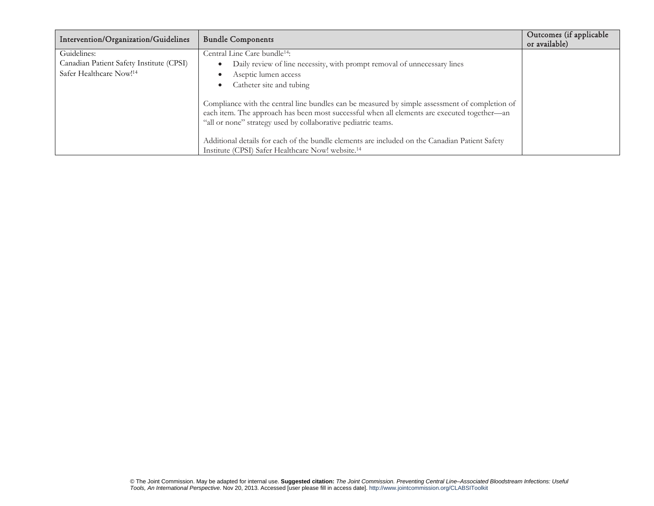| Intervention/Organization/Guidelines                                                           | <b>Bundle Components</b>                                                                                                                                                                                                                                       | Outcomes (if applicable<br>or available) |
|------------------------------------------------------------------------------------------------|----------------------------------------------------------------------------------------------------------------------------------------------------------------------------------------------------------------------------------------------------------------|------------------------------------------|
| Guidelines:<br>Canadian Patient Safety Institute (CPSI)<br>Safer Healthcare Now! <sup>14</sup> | Central Line Care bundle <sup>14</sup> :<br>Daily review of line necessity, with prompt removal of unnecessary lines<br>Aseptic lumen access<br>Catheter site and tubing                                                                                       |                                          |
|                                                                                                | Compliance with the central line bundles can be measured by simple assessment of completion of<br>each item. The approach has been most successful when all elements are executed together—an<br>"all or none" strategy used by collaborative pediatric teams. |                                          |
|                                                                                                | Additional details for each of the bundle elements are included on the Canadian Patient Safety<br>Institute (CPSI) Safer Healthcare Now! website. <sup>14</sup>                                                                                                |                                          |